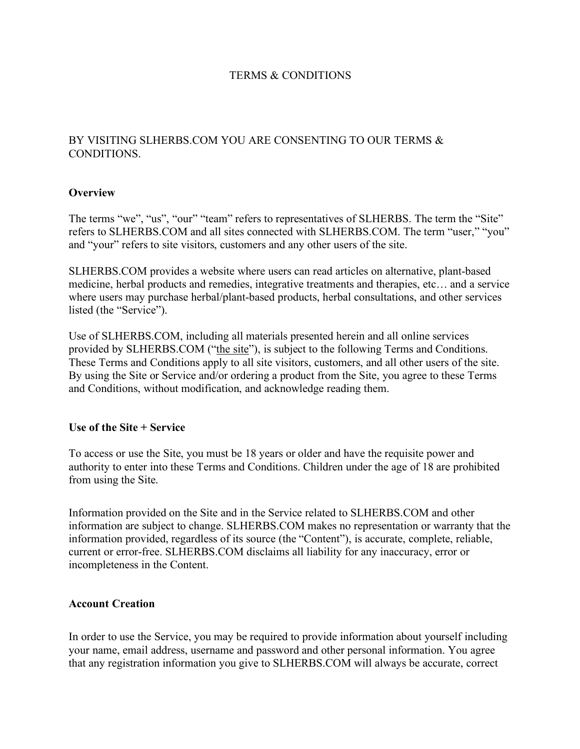# TERMS & CONDITIONS

# BY VISITING SLHERBS.COM YOU ARE CONSENTING TO OUR TERMS & CONDITIONS.

### **Overview**

The terms "we", "us", "our" "team" refers to representatives of SLHERBS. The term the "Site" refers to SLHERBS.COM and all sites connected with SLHERBS.COM. The term "user," "you" and "your" refers to site visitors, customers and any other users of the site.

SLHERBS.COM provides a website where users can read articles on alternative, plant-based medicine, herbal products and remedies, integrative treatments and therapies, etc… and a service where users may purchase herbal/plant-based products, herbal consultations, and other services listed (the "Service").

Use of SLHERBS.COM, including all materials presented herein and all online services provided by SLHERBS.COM ("the site"), is subject to the following Terms and Conditions. These Terms and Conditions apply to all site visitors, customers, and all other users of the site. By using the Site or Service and/or ordering a product from the Site, you agree to these Terms and Conditions, without modification, and acknowledge reading them.

### **Use of the Site + Service**

To access or use the Site, you must be 18 years or older and have the requisite power and authority to enter into these Terms and Conditions. Children under the age of 18 are prohibited from using the Site.

Information provided on the Site and in the Service related to SLHERBS.COM and other information are subject to change. SLHERBS.COM makes no representation or warranty that the information provided, regardless of its source (the "Content"), is accurate, complete, reliable, current or error-free. SLHERBS.COM disclaims all liability for any inaccuracy, error or incompleteness in the Content.

### **Account Creation**

In order to use the Service, you may be required to provide information about yourself including your name, email address, username and password and other personal information. You agree that any registration information you give to SLHERBS.COM will always be accurate, correct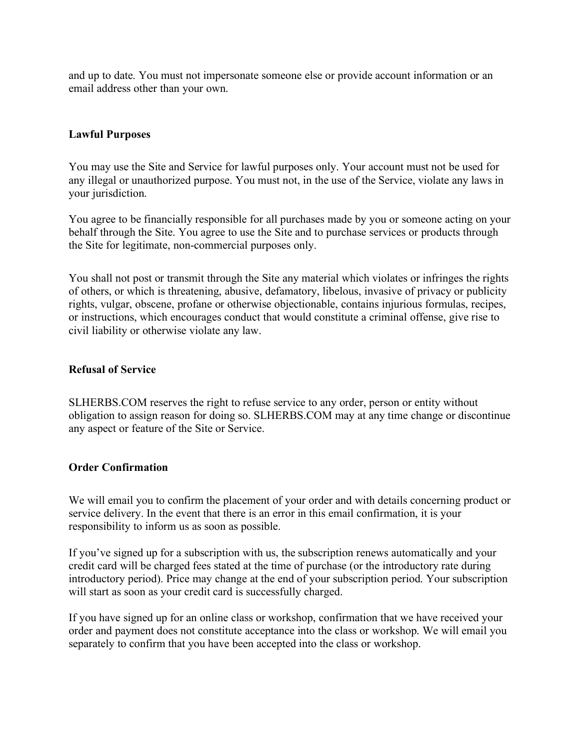and up to date. You must not impersonate someone else or provide account information or an email address other than your own.

# **Lawful Purposes**

You may use the Site and Service for lawful purposes only. Your account must not be used for any illegal or unauthorized purpose. You must not, in the use of the Service, violate any laws in your jurisdiction.

You agree to be financially responsible for all purchases made by you or someone acting on your behalf through the Site. You agree to use the Site and to purchase services or products through the Site for legitimate, non-commercial purposes only.

You shall not post or transmit through the Site any material which violates or infringes the rights of others, or which is threatening, abusive, defamatory, libelous, invasive of privacy or publicity rights, vulgar, obscene, profane or otherwise objectionable, contains injurious formulas, recipes, or instructions, which encourages conduct that would constitute a criminal offense, give rise to civil liability or otherwise violate any law.

### **Refusal of Service**

SLHERBS.COM reserves the right to refuse service to any order, person or entity without obligation to assign reason for doing so. SLHERBS.COM may at any time change or discontinue any aspect or feature of the Site or Service.

### **Order Confirmation**

We will email you to confirm the placement of your order and with details concerning product or service delivery. In the event that there is an error in this email confirmation, it is your responsibility to inform us as soon as possible.

If you've signed up for a subscription with us, the subscription renews automatically and your credit card will be charged fees stated at the time of purchase (or the introductory rate during introductory period). Price may change at the end of your subscription period. Your subscription will start as soon as your credit card is successfully charged.

If you have signed up for an online class or workshop, confirmation that we have received your order and payment does not constitute acceptance into the class or workshop. We will email you separately to confirm that you have been accepted into the class or workshop.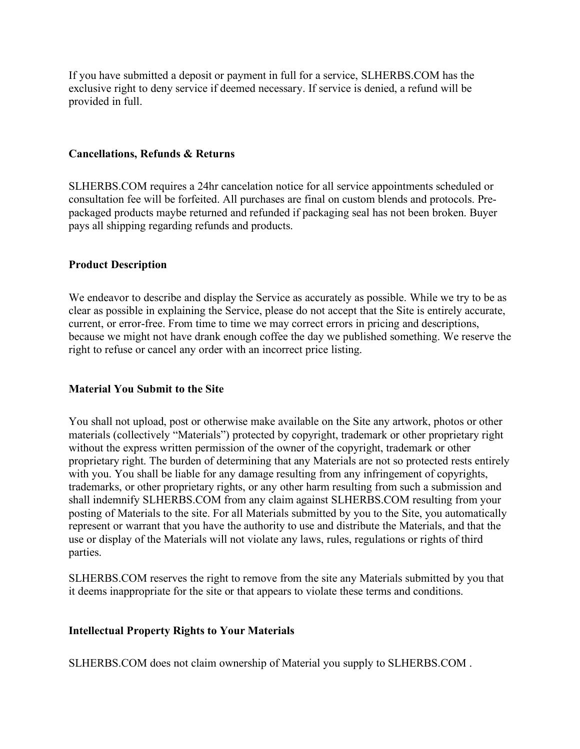If you have submitted a deposit or payment in full for a service, SLHERBS.COM has the exclusive right to deny service if deemed necessary. If service is denied, a refund will be provided in full.

### **Cancellations, Refunds & Returns**

SLHERBS.COM requires a 24hr cancelation notice for all service appointments scheduled or consultation fee will be forfeited. All purchases are final on custom blends and protocols. Prepackaged products maybe returned and refunded if packaging seal has not been broken. Buyer pays all shipping regarding refunds and products.

### **Product Description**

We endeavor to describe and display the Service as accurately as possible. While we try to be as clear as possible in explaining the Service, please do not accept that the Site is entirely accurate, current, or error-free. From time to time we may correct errors in pricing and descriptions, because we might not have drank enough coffee the day we published something. We reserve the right to refuse or cancel any order with an incorrect price listing.

### **Material You Submit to the Site**

You shall not upload, post or otherwise make available on the Site any artwork, photos or other materials (collectively "Materials") protected by copyright, trademark or other proprietary right without the express written permission of the owner of the copyright, trademark or other proprietary right. The burden of determining that any Materials are not so protected rests entirely with you. You shall be liable for any damage resulting from any infringement of copyrights, trademarks, or other proprietary rights, or any other harm resulting from such a submission and shall indemnify SLHERBS.COM from any claim against SLHERBS.COM resulting from your posting of Materials to the site. For all Materials submitted by you to the Site, you automatically represent or warrant that you have the authority to use and distribute the Materials, and that the use or display of the Materials will not violate any laws, rules, regulations or rights of third parties.

SLHERBS.COM reserves the right to remove from the site any Materials submitted by you that it deems inappropriate for the site or that appears to violate these terms and conditions.

### **Intellectual Property Rights to Your Materials**

SLHERBS.COM does not claim ownership of Material you supply to SLHERBS.COM .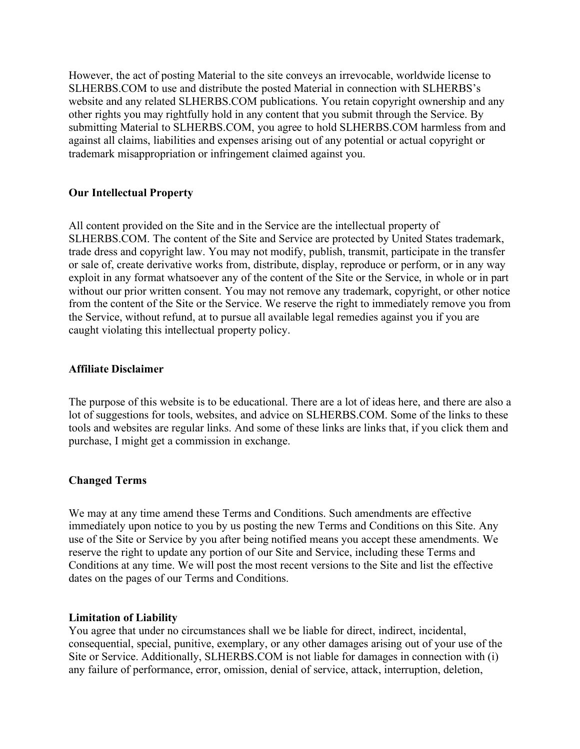However, the act of posting Material to the site conveys an irrevocable, worldwide license to SLHERBS.COM to use and distribute the posted Material in connection with SLHERBS's website and any related SLHERBS.COM publications. You retain copyright ownership and any other rights you may rightfully hold in any content that you submit through the Service. By submitting Material to SLHERBS.COM, you agree to hold SLHERBS.COM harmless from and against all claims, liabilities and expenses arising out of any potential or actual copyright or trademark misappropriation or infringement claimed against you.

### **Our Intellectual Property**

All content provided on the Site and in the Service are the intellectual property of SLHERBS.COM. The content of the Site and Service are protected by United States trademark, trade dress and copyright law. You may not modify, publish, transmit, participate in the transfer or sale of, create derivative works from, distribute, display, reproduce or perform, or in any way exploit in any format whatsoever any of the content of the Site or the Service, in whole or in part without our prior written consent. You may not remove any trademark, copyright, or other notice from the content of the Site or the Service. We reserve the right to immediately remove you from the Service, without refund, at to pursue all available legal remedies against you if you are caught violating this intellectual property policy.

#### **Affiliate Disclaimer**

The purpose of this website is to be educational. There are a lot of ideas here, and there are also a lot of suggestions for tools, websites, and advice on SLHERBS.COM. Some of the links to these tools and websites are regular links. And some of these links are links that, if you click them and purchase, I might get a commission in exchange.

### **Changed Terms**

We may at any time amend these Terms and Conditions. Such amendments are effective immediately upon notice to you by us posting the new Terms and Conditions on this Site. Any use of the Site or Service by you after being notified means you accept these amendments. We reserve the right to update any portion of our Site and Service, including these Terms and Conditions at any time. We will post the most recent versions to the Site and list the effective dates on the pages of our Terms and Conditions.

#### **Limitation of Liability**

You agree that under no circumstances shall we be liable for direct, indirect, incidental, consequential, special, punitive, exemplary, or any other damages arising out of your use of the Site or Service. Additionally, SLHERBS.COM is not liable for damages in connection with (i) any failure of performance, error, omission, denial of service, attack, interruption, deletion,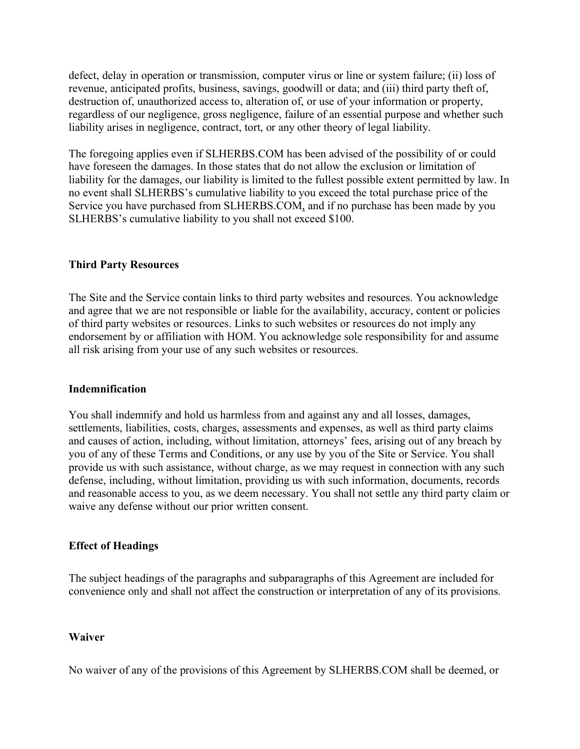defect, delay in operation or transmission, computer virus or line or system failure; (ii) loss of revenue, anticipated profits, business, savings, goodwill or data; and (iii) third party theft of, destruction of, unauthorized access to, alteration of, or use of your information or property, regardless of our negligence, gross negligence, failure of an essential purpose and whether such liability arises in negligence, contract, tort, or any other theory of legal liability.

The foregoing applies even if SLHERBS.COM has been advised of the possibility of or could have foreseen the damages. In those states that do not allow the exclusion or limitation of liability for the damages, our liability is limited to the fullest possible extent permitted by law. In no event shall SLHERBS's cumulative liability to you exceed the total purchase price of the Service you have purchased from SLHERBS.COM, and if no purchase has been made by you SLHERBS's cumulative liability to you shall not exceed \$100.

# **Third Party Resources**

The Site and the Service contain links to third party websites and resources. You acknowledge and agree that we are not responsible or liable for the availability, accuracy, content or policies of third party websites or resources. Links to such websites or resources do not imply any endorsement by or affiliation with HOM. You acknowledge sole responsibility for and assume all risk arising from your use of any such websites or resources.

### **Indemnification**

You shall indemnify and hold us harmless from and against any and all losses, damages, settlements, liabilities, costs, charges, assessments and expenses, as well as third party claims and causes of action, including, without limitation, attorneys' fees, arising out of any breach by you of any of these Terms and Conditions, or any use by you of the Site or Service. You shall provide us with such assistance, without charge, as we may request in connection with any such defense, including, without limitation, providing us with such information, documents, records and reasonable access to you, as we deem necessary. You shall not settle any third party claim or waive any defense without our prior written consent.

### **Effect of Headings**

The subject headings of the paragraphs and subparagraphs of this Agreement are included for convenience only and shall not affect the construction or interpretation of any of its provisions.

### **Waiver**

No waiver of any of the provisions of this Agreement by SLHERBS.COM shall be deemed, or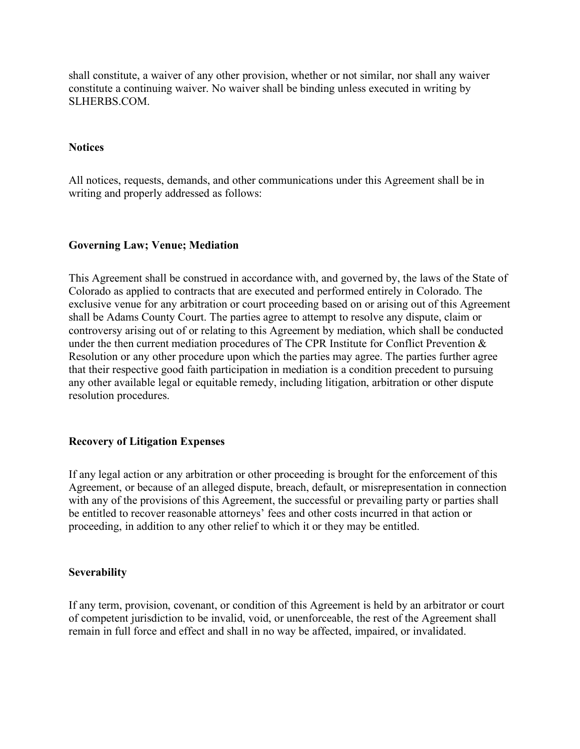shall constitute, a waiver of any other provision, whether or not similar, nor shall any waiver constitute a continuing waiver. No waiver shall be binding unless executed in writing by SLHERBS.COM.

### **Notices**

All notices, requests, demands, and other communications under this Agreement shall be in writing and properly addressed as follows:

### **Governing Law; Venue; Mediation**

This Agreement shall be construed in accordance with, and governed by, the laws of the State of Colorado as applied to contracts that are executed and performed entirely in Colorado. The exclusive venue for any arbitration or court proceeding based on or arising out of this Agreement shall be Adams County Court. The parties agree to attempt to resolve any dispute, claim or controversy arising out of or relating to this Agreement by mediation, which shall be conducted under the then current mediation procedures of The CPR Institute for Conflict Prevention & Resolution or any other procedure upon which the parties may agree. The parties further agree that their respective good faith participation in mediation is a condition precedent to pursuing any other available legal or equitable remedy, including litigation, arbitration or other dispute resolution procedures.

### **Recovery of Litigation Expenses**

If any legal action or any arbitration or other proceeding is brought for the enforcement of this Agreement, or because of an alleged dispute, breach, default, or misrepresentation in connection with any of the provisions of this Agreement, the successful or prevailing party or parties shall be entitled to recover reasonable attorneys' fees and other costs incurred in that action or proceeding, in addition to any other relief to which it or they may be entitled.

#### **Severability**

If any term, provision, covenant, or condition of this Agreement is held by an arbitrator or court of competent jurisdiction to be invalid, void, or unenforceable, the rest of the Agreement shall remain in full force and effect and shall in no way be affected, impaired, or invalidated.